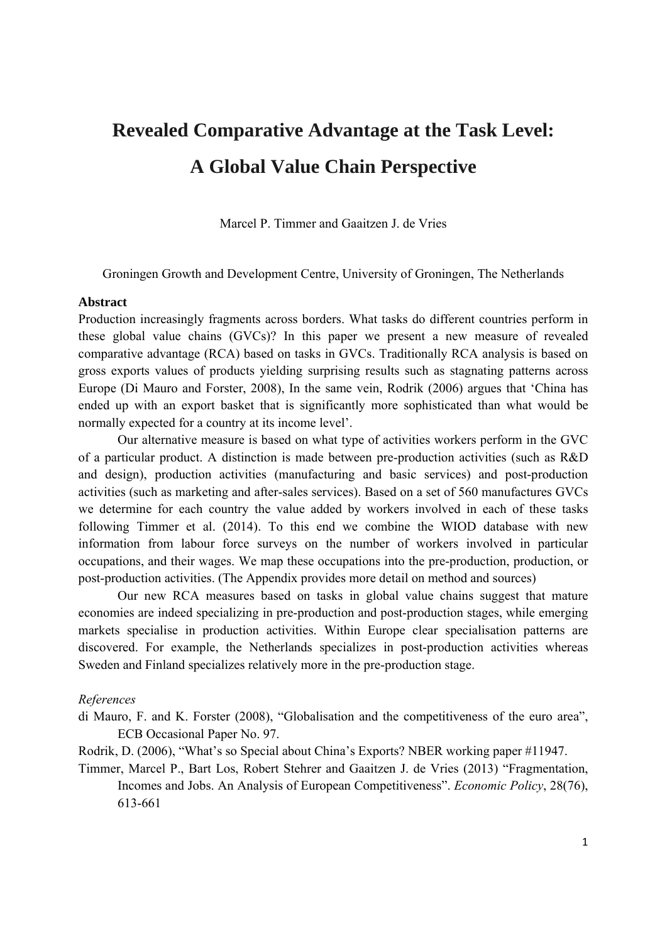# **Revealed Comparative Advantage at the Task Level: A Global Value Chain Perspective**

Marcel P. Timmer and Gaaitzen J. de Vries

Groningen Growth and Development Centre, University of Groningen, The Netherlands

### **Abstract**

Production increasingly fragments across borders. What tasks do different countries perform in these global value chains (GVCs)? In this paper we present a new measure of revealed comparative advantage (RCA) based on tasks in GVCs. Traditionally RCA analysis is based on gross exports values of products yielding surprising results such as stagnating patterns across Europe (Di Mauro and Forster, 2008), In the same vein, Rodrik (2006) argues that 'China has ended up with an export basket that is significantly more sophisticated than what would be normally expected for a country at its income level'.

Our alternative measure is based on what type of activities workers perform in the GVC of a particular product. A distinction is made between pre-production activities (such as R&D and design), production activities (manufacturing and basic services) and post-production activities (such as marketing and after-sales services). Based on a set of 560 manufactures GVCs we determine for each country the value added by workers involved in each of these tasks following Timmer et al. (2014). To this end we combine the WIOD database with new information from labour force surveys on the number of workers involved in particular occupations, and their wages. We map these occupations into the pre-production, production, or post-production activities. (The Appendix provides more detail on method and sources)

 Our new RCA measures based on tasks in global value chains suggest that mature economies are indeed specializing in pre-production and post-production stages, while emerging markets specialise in production activities. Within Europe clear specialisation patterns are discovered. For example, the Netherlands specializes in post-production activities whereas Sweden and Finland specializes relatively more in the pre-production stage.

#### *References*

di Mauro, F. and K. Forster (2008), "Globalisation and the competitiveness of the euro area", ECB Occasional Paper No. 97.

Rodrik, D. (2006), "What's so Special about China's Exports? NBER working paper #11947.

Timmer, Marcel P., Bart Los, Robert Stehrer and Gaaitzen J. de Vries (2013) "Fragmentation, Incomes and Jobs. An Analysis of European Competitiveness". *Economic Policy*, 28(76), 613-661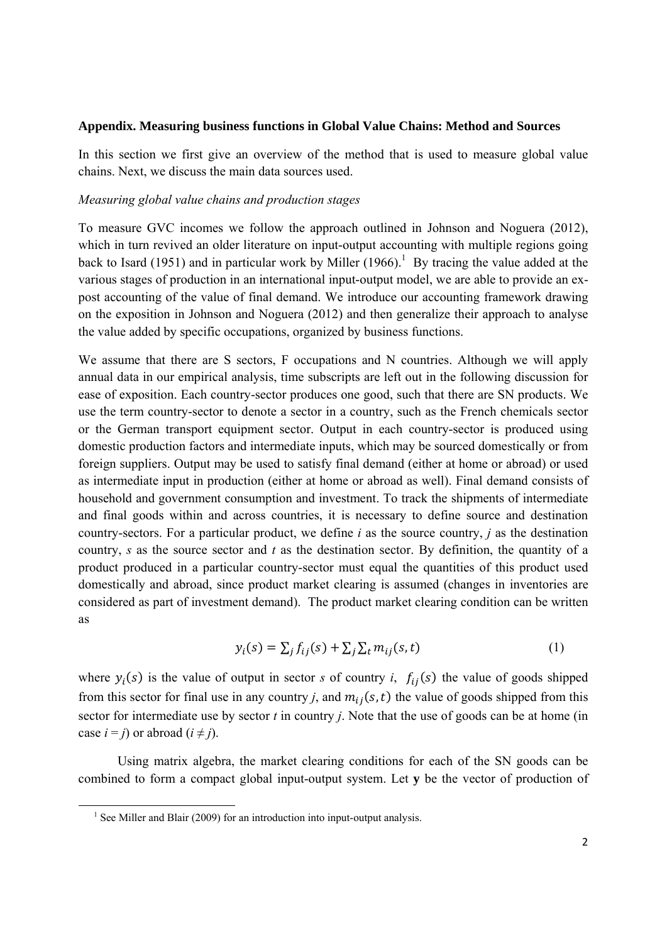#### **Appendix. Measuring business functions in Global Value Chains: Method and Sources**

In this section we first give an overview of the method that is used to measure global value chains. Next, we discuss the main data sources used.

#### *Measuring global value chains and production stages*

To measure GVC incomes we follow the approach outlined in Johnson and Noguera (2012), which in turn revived an older literature on input-output accounting with multiple regions going back to Isard (1951) and in particular work by Miller (1966).<sup>1</sup> By tracing the value added at the various stages of production in an international input-output model, we are able to provide an expost accounting of the value of final demand. We introduce our accounting framework drawing on the exposition in Johnson and Noguera (2012) and then generalize their approach to analyse the value added by specific occupations, organized by business functions.

We assume that there are S sectors, F occupations and N countries. Although we will apply annual data in our empirical analysis, time subscripts are left out in the following discussion for ease of exposition. Each country-sector produces one good, such that there are SN products. We use the term country-sector to denote a sector in a country, such as the French chemicals sector or the German transport equipment sector. Output in each country-sector is produced using domestic production factors and intermediate inputs, which may be sourced domestically or from foreign suppliers. Output may be used to satisfy final demand (either at home or abroad) or used as intermediate input in production (either at home or abroad as well). Final demand consists of household and government consumption and investment. To track the shipments of intermediate and final goods within and across countries, it is necessary to define source and destination country-sectors. For a particular product, we define *i* as the source country, *j* as the destination country, *s* as the source sector and *t* as the destination sector. By definition, the quantity of a product produced in a particular country-sector must equal the quantities of this product used domestically and abroad, since product market clearing is assumed (changes in inventories are considered as part of investment demand). The product market clearing condition can be written as

$$
y_i(s) = \sum_j f_{ij}(s) + \sum_j \sum_t m_{ij}(s, t) \tag{1}
$$

where  $y_i(s)$  is the value of output in sector *s* of country *i*,  $f_{ij}(s)$  the value of goods shipped from this sector for final use in any country *j*, and  $m_{ij}(s, t)$  the value of goods shipped from this sector for intermediate use by sector *t* in country *j*. Note that the use of goods can be at home (in case  $i = j$ ) or abroad  $(i \neq j)$ .

Using matrix algebra, the market clearing conditions for each of the SN goods can be combined to form a compact global input-output system. Let **y** be the vector of production of

<sup>&</sup>lt;sup>1</sup> See Miller and Blair (2009) for an introduction into input-output analysis.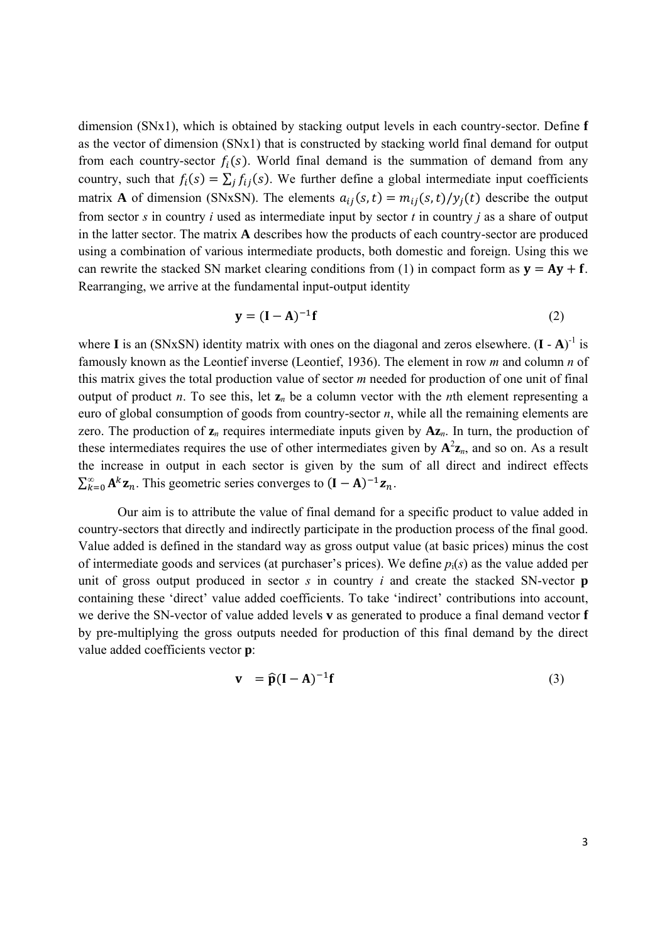dimension (SNx1), which is obtained by stacking output levels in each country-sector. Define **f** as the vector of dimension (SNx1) that is constructed by stacking world final demand for output from each country-sector  $f_i(s)$ . World final demand is the summation of demand from any country, such that  $f_i(s) = \sum_i f_{ij}(s)$ . We further define a global intermediate input coefficients matrix **A** of dimension (SNxSN). The elements  $a_{ij}(s,t) = m_{ij}(s,t)/y_i(t)$  describe the output from sector *s* in country *i* used as intermediate input by sector *t* in country *j* as a share of output in the latter sector. The matrix **A** describes how the products of each country-sector are produced using a combination of various intermediate products, both domestic and foreign. Using this we can rewrite the stacked SN market clearing conditions from (1) in compact form as  $\mathbf{v} = \mathbf{A}\mathbf{v} + \mathbf{f}$ . Rearranging, we arrive at the fundamental input-output identity

$$
\mathbf{y} = (\mathbf{I} - \mathbf{A})^{-1} \mathbf{f} \tag{2}
$$

where **I** is an (SNxSN) identity matrix with ones on the diagonal and zeros elsewhere.  $(I - A)^{-1}$  is famously known as the Leontief inverse (Leontief, 1936). The element in row *m* and column *n* of this matrix gives the total production value of sector *m* needed for production of one unit of final output of product *n*. To see this, let  $z_n$  be a column vector with the *n*th element representing a euro of global consumption of goods from country-sector *n*, while all the remaining elements are zero. The production of **z***n* requires intermediate inputs given by **Az***n*. In turn, the production of these intermediates requires the use of other intermediates given by  $A^2z_n$ , and so on. As a result the increase in output in each sector is given by the sum of all direct and indirect effects  $\sum_{k=0}^{\infty} A^k \mathbf{z}_n$ . This geometric series converges to  $(\mathbf{I} - A)^{-1} \mathbf{z}_n$ .

Our aim is to attribute the value of final demand for a specific product to value added in country-sectors that directly and indirectly participate in the production process of the final good. Value added is defined in the standard way as gross output value (at basic prices) minus the cost of intermediate goods and services (at purchaser's prices). We define *p*i(*s*) as the value added per unit of gross output produced in sector *s* in country *i* and create the stacked SN-vector **p** containing these 'direct' value added coefficients. To take 'indirect' contributions into account, we derive the SN-vector of value added levels **v** as generated to produce a final demand vector **f** by pre-multiplying the gross outputs needed for production of this final demand by the direct value added coefficients vector **p**:

$$
\mathbf{v} = \widehat{\mathbf{p}}(\mathbf{I} - \mathbf{A})^{-1}\mathbf{f}
$$
 (3)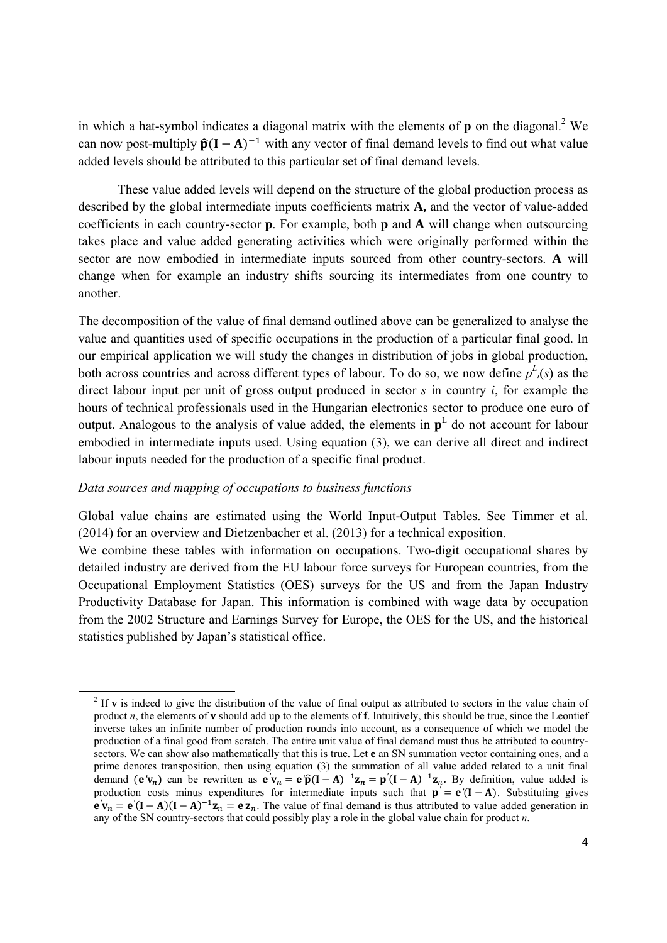in which a hat-symbol indicates a diagonal matrix with the elements of  $\bf{p}$  on the diagonal.<sup>2</sup> We can now post-multiply  $\hat{\mathbf{p}}(\mathbf{I} - \mathbf{A})^{-1}$  with any vector of final demand levels to find out what value added levels should be attributed to this particular set of final demand levels.

These value added levels will depend on the structure of the global production process as described by the global intermediate inputs coefficients matrix **A,** and the vector of value-added coefficients in each country-sector **p**. For example, both **p** and **A** will change when outsourcing takes place and value added generating activities which were originally performed within the sector are now embodied in intermediate inputs sourced from other country-sectors. **A** will change when for example an industry shifts sourcing its intermediates from one country to another.

The decomposition of the value of final demand outlined above can be generalized to analyse the value and quantities used of specific occupations in the production of a particular final good. In our empirical application we will study the changes in distribution of jobs in global production, both across countries and across different types of labour. To do so, we now define  $p^L_i(s)$  as the direct labour input per unit of gross output produced in sector *s* in country *i*, for example the hours of technical professionals used in the Hungarian electronics sector to produce one euro of output. Analogous to the analysis of value added, the elements in  $p<sup>L</sup>$  do not account for labour embodied in intermediate inputs used. Using equation (3), we can derive all direct and indirect labour inputs needed for the production of a specific final product.

## *Data sources and mapping of occupations to business functions*

Global value chains are estimated using the World Input-Output Tables. See Timmer et al. (2014) for an overview and Dietzenbacher et al. (2013) for a technical exposition.

We combine these tables with information on occupations. Two-digit occupational shares by detailed industry are derived from the EU labour force surveys for European countries, from the Occupational Employment Statistics (OES) surveys for the US and from the Japan Industry Productivity Database for Japan. This information is combined with wage data by occupation from the 2002 Structure and Earnings Survey for Europe, the OES for the US, and the historical statistics published by Japan's statistical office.

<sup>&</sup>lt;sup>2</sup> If **v** is indeed to give the distribution of the value of final output as attributed to sectors in the value chain of product *n*, the elements of **v** should add up to the elements of **f**. Intuitively, this should be true, since the Leontief inverse takes an infinite number of production rounds into account, as a consequence of which we model the production of a final good from scratch. The entire unit value of final demand must thus be attributed to countrysectors. We can show also mathematically that this is true. Let **e** an SN summation vector containing ones, and a prime denotes transposition, then using equation (3) the summation of all value added related to a unit final demand  $(e'v_n)$  can be rewritten as  $e'v_n = e'\hat{p}(I-A)^{-1}\mathbf{z}_n = p'(I-A)^{-1}\mathbf{z}_n$ . By definition, value added is production costs minus expenditures for intermediate inputs such that  $\mathbf{p}' = \mathbf{e}'(\mathbf{I} - \mathbf{A})$ . Substituting gives  $\mathbf{e}'\mathbf{v}_n = \mathbf{e}'(\mathbf{I} - \mathbf{A})(\mathbf{I} - \mathbf{A})^{-1}\mathbf{z}_n = \mathbf{e}'\mathbf{z}_n$ . The value of final demand is thus attributed to value added generation in any of the SN country-sectors that could possibly play a role in the global value chain for product *n*.